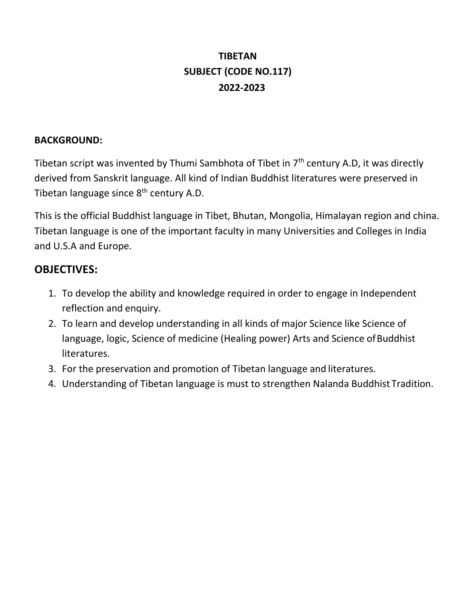# **TIBETAN SUBJECT (CODE NO.117) 2022-2023**

### **BACKGROUND:**

Tibetan script was invented by Thumi Sambhota of Tibet in  $7<sup>th</sup>$  century A.D, it was directly derived from Sanskrit language. All kind of Indian Buddhist literatures were preserved in Tibetan language since  $8<sup>th</sup>$  century A.D.

This is the official Buddhist language in Tibet, Bhutan, Mongolia, Himalayan region and china. Tibetan language is one of the important faculty in many Universities and Colleges in India and U.S.A and Europe.

### **OBJECTIVES:**

- 1. To develop the ability and knowledge required in order to engage in Independent reflection and enquiry.
- 2. To learn and develop understanding in all kinds of major Science like Science of language, logic, Science of medicine (Healing power) Arts and Science of Buddhist literatures.
- 3. For the preservation and promotion of Tibetan language and literatures.
- 4. Understanding of Tibetan language is must to strengthen Nalanda Buddhist Tradition.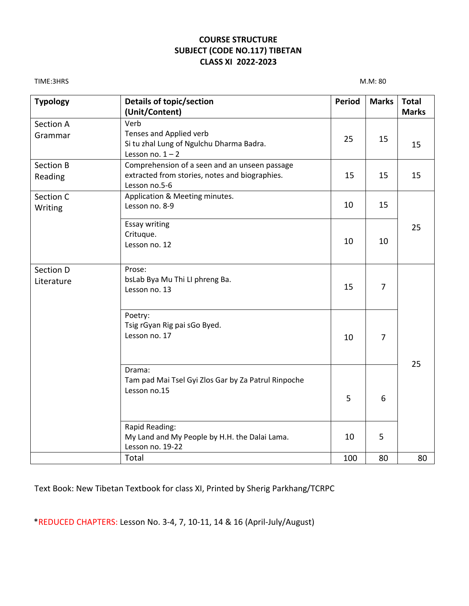#### **COURSE STRUCTURE SUBJECT (CODE NO.117) TIBETAN CLASS XI 2022-2023**

TIME:3HRS M.M: 80

| <b>Typology</b>         | Details of topic/section<br>(Unit/Content)                                                                       | <b>Period</b> | <b>Marks</b>   | <b>Total</b><br><b>Marks</b> |
|-------------------------|------------------------------------------------------------------------------------------------------------------|---------------|----------------|------------------------------|
| Section A<br>Grammar    | Verb<br>Tenses and Applied verb<br>Si tu zhal Lung of Ngulchu Dharma Badra.<br>Lesson no. $1 - 2$                | 25            | 15             | 15                           |
| Section B<br>Reading    | Comprehension of a seen and an unseen passage<br>extracted from stories, notes and biographies.<br>Lesson no.5-6 | 15            | 15             | 15                           |
| Section C<br>Writing    | Application & Meeting minutes.<br>Lesson no. 8-9                                                                 | 10            | 15             |                              |
|                         | <b>Essay writing</b><br>Crituque.<br>Lesson no. 12                                                               | 10            | 10             | 25                           |
| Section D<br>Literature | Prose:<br>bsLab Bya Mu Thi LI phreng Ba.<br>Lesson no. 13                                                        | 15            | 7              |                              |
|                         | Poetry:<br>Tsig rGyan Rig pai sGo Byed.<br>Lesson no. 17                                                         | 10            | $\overline{7}$ |                              |
|                         | Drama:<br>Tam pad Mai Tsel Gyi Zlos Gar by Za Patrul Rinpoche<br>Lesson no.15                                    | 5             | 6              | 25                           |
|                         | Rapid Reading:<br>My Land and My People by H.H. the Dalai Lama.<br>Lesson no. 19-22                              | 10            | 5              |                              |
|                         | Total                                                                                                            | 100           | 80             | 80                           |

Text Book: New Tibetan Textbook for class XI, Printed by Sherig Parkhang/TCRPC

\*REDUCED CHAPTERS: Lesson No. 3-4, 7, 10-11, 14 & 16 (April-July/August)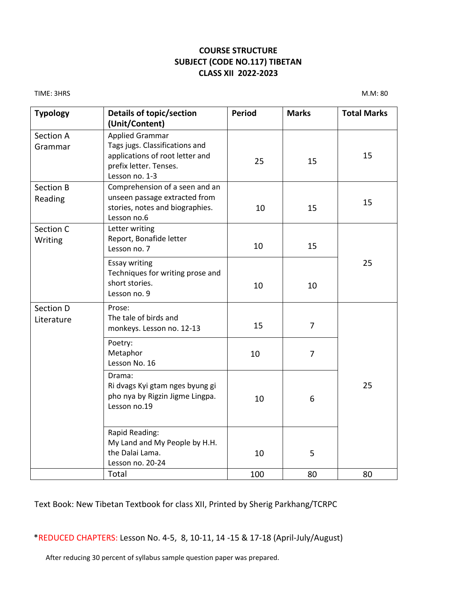#### **COURSE STRUCTURE SUBJECT (CODE NO.117) TIBETAN CLASS XII 2022-2023**

TIME: 3HRS M.M: 80

| <b>Typology</b>             | Details of topic/section<br>(Unit/Content)                                                                                              | <b>Period</b> | <b>Marks</b>   | <b>Total Marks</b> |  |
|-----------------------------|-----------------------------------------------------------------------------------------------------------------------------------------|---------------|----------------|--------------------|--|
| Section A<br>Grammar        | <b>Applied Grammar</b><br>Tags jugs. Classifications and<br>applications of root letter and<br>prefix letter. Tenses.<br>Lesson no. 1-3 | 25            | 15             | 15                 |  |
| <b>Section B</b><br>Reading | Comprehension of a seen and an<br>unseen passage extracted from<br>stories, notes and biographies.<br>Lesson no.6                       | 10            | 15             | 15                 |  |
| Section C<br>Writing        | Letter writing<br>Report, Bonafide letter<br>Lesson no. 7                                                                               | 10            | 15             |                    |  |
|                             | <b>Essay writing</b><br>Techniques for writing prose and<br>short stories.<br>Lesson no. 9                                              | 10            | 10             | 25                 |  |
| Section D<br>Literature     | Prose:<br>The tale of birds and<br>monkeys. Lesson no. 12-13                                                                            | 15            | $\overline{7}$ |                    |  |
|                             | Poetry:<br>Metaphor<br>Lesson No. 16                                                                                                    | 10            | 7              | 25                 |  |
|                             | Drama:<br>Ri dvags Kyi gtam nges byung gi<br>pho nya by Rigzin Jigme Lingpa.<br>Lesson no.19                                            | 10            | 6              |                    |  |
|                             | Rapid Reading:<br>My Land and My People by H.H.<br>the Dalai Lama.<br>Lesson no. 20-24                                                  | 10            | 5              |                    |  |
|                             | Total                                                                                                                                   | 100           | 80             | 80                 |  |

#### Text Book: New Tibetan Textbook for class XII, Printed by Sherig Parkhang/TCRPC

\*REDUCED CHAPTERS: Lesson No. 4-5, 8, 10-11, 14 -15 & 17-18 (April-July/August)

After reducing 30 percent of syllabus sample question paper was prepared.